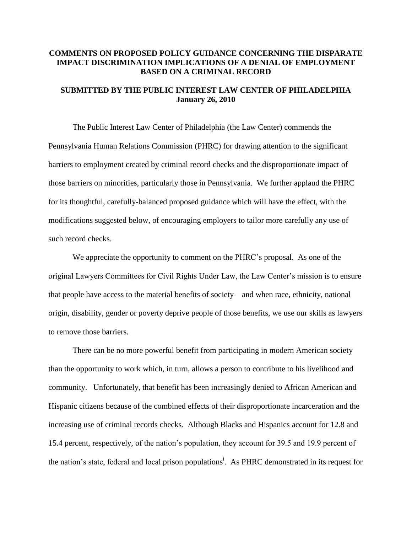### **COMMENTS ON PROPOSED POLICY GUIDANCE CONCERNING THE DISPARATE IMPACT DISCRIMINATION IMPLICATIONS OF A DENIAL OF EMPLOYMENT BASED ON A CRIMINAL RECORD**

## **SUBMITTED BY THE PUBLIC INTEREST LAW CENTER OF PHILADELPHIA January 26, 2010**

The Public Interest Law Center of Philadelphia (the Law Center) commends the Pennsylvania Human Relations Commission (PHRC) for drawing attention to the significant barriers to employment created by criminal record checks and the disproportionate impact of those barriers on minorities, particularly those in Pennsylvania. We further applaud the PHRC for its thoughtful, carefully-balanced proposed guidance which will have the effect, with the modifications suggested below, of encouraging employers to tailor more carefully any use of such record checks.

We appreciate the opportunity to comment on the PHRC's proposal. As one of the original Lawyers Committees for Civil Rights Under Law, the Law Center's mission is to ensure that people have access to the material benefits of society—and when race, ethnicity, national origin, disability, gender or poverty deprive people of those benefits, we use our skills as lawyers to remove those barriers.

There can be no more powerful benefit from participating in modern American society than the opportunity to work which, in turn, allows a person to contribute to his livelihood and community. Unfortunately, that benefit has been increasingly denied to African American and Hispanic citizens because of the combined effects of their disproportionate incarceration and the increasing use of criminal records checks. Although Blacks and Hispanics account for 12.8 and 15.4 percent, respectively, of the nation's population, they account for 39.5 and 19.9 percent of the nation's state, federal and local prison populations<sup>i</sup>. As PHRC demonstrated in its request for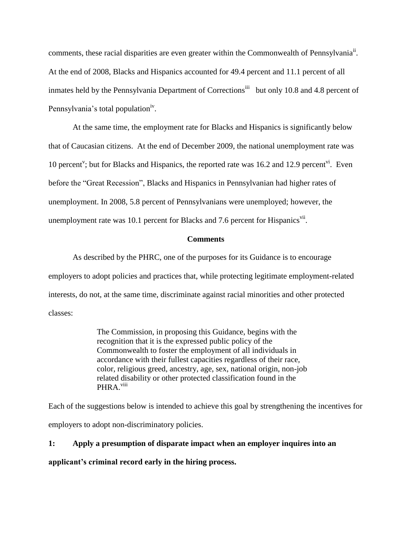comments, these racial disparities are even greater within the Commonwealth of Pennsylvania<sup>ii</sup>. At the end of 2008, Blacks and Hispanics accounted for 49.4 percent and 11.1 percent of all inmates held by the Pennsylvania Department of Corrections<sup>iii</sup> but only 10.8 and 4.8 percent of Pennsylvania's total population<sup>iv</sup>.

At the same time, the employment rate for Blacks and Hispanics is significantly below that of Caucasian citizens. At the end of December 2009, the national unemployment rate was 10 percent<sup>v</sup>; but for Blacks and Hispanics, the reported rate was 16.2 and 12.9 percent<sup>vi</sup>. Even before the "Great Recession", Blacks and Hispanics in Pennsylvanian had higher rates of unemployment. In 2008, 5.8 percent of Pennsylvanians were unemployed; however, the unemployment rate was 10.1 percent for Blacks and 7.6 percent for Hispanics<sup>vii</sup>.

#### **Comments**

As described by the PHRC, one of the purposes for its Guidance is to encourage employers to adopt policies and practices that, while protecting legitimate employment-related interests, do not, at the same time, discriminate against racial minorities and other protected classes:

> The Commission, in proposing this Guidance, begins with the recognition that it is the expressed public policy of the Commonwealth to foster the employment of all individuals in accordance with their fullest capacities regardless of their race, color, religious greed, ancestry, age, sex, national origin, non-job related disability or other protected classification found in the PHRA.<sup>viii</sup>

Each of the suggestions below is intended to achieve this goal by strengthening the incentives for employers to adopt non-discriminatory policies.

# **1: Apply a presumption of disparate impact when an employer inquires into an**

**applicant's criminal record early in the hiring process.**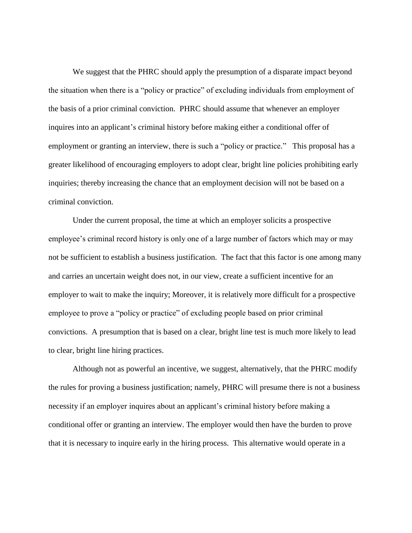We suggest that the PHRC should apply the presumption of a disparate impact beyond the situation when there is a "policy or practice" of excluding individuals from employment of the basis of a prior criminal conviction. PHRC should assume that whenever an employer inquires into an applicant's criminal history before making either a conditional offer of employment or granting an interview, there is such a "policy or practice." This proposal has a greater likelihood of encouraging employers to adopt clear, bright line policies prohibiting early inquiries; thereby increasing the chance that an employment decision will not be based on a criminal conviction.

Under the current proposal, the time at which an employer solicits a prospective employee's criminal record history is only one of a large number of factors which may or may not be sufficient to establish a business justification. The fact that this factor is one among many and carries an uncertain weight does not, in our view, create a sufficient incentive for an employer to wait to make the inquiry; Moreover, it is relatively more difficult for a prospective employee to prove a "policy or practice" of excluding people based on prior criminal convictions. A presumption that is based on a clear, bright line test is much more likely to lead to clear, bright line hiring practices.

Although not as powerful an incentive, we suggest, alternatively, that the PHRC modify the rules for proving a business justification; namely, PHRC will presume there is not a business necessity if an employer inquires about an applicant's criminal history before making a conditional offer or granting an interview. The employer would then have the burden to prove that it is necessary to inquire early in the hiring process. This alternative would operate in a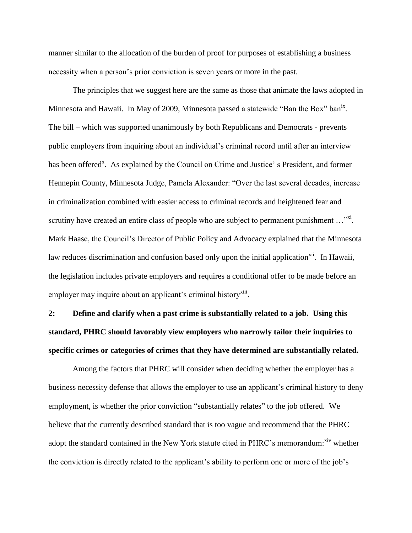manner similar to the allocation of the burden of proof for purposes of establishing a business necessity when a person's prior conviction is seven years or more in the past.

The principles that we suggest here are the same as those that animate the laws adopted in Minnesota and Hawaii. In May of 2009, Minnesota passed a statewide "Ban the Box" ban<sup>ix</sup>. The bill – which was supported unanimously by both Republicans and Democrats - prevents public employers from inquiring about an individual's criminal record until after an interview has been offered<sup>x</sup>. As explained by the Council on Crime and Justice's President, and former Hennepin County, Minnesota Judge, Pamela Alexander: "Over the last several decades, increase in criminalization combined with easier access to criminal records and heightened fear and scrutiny have created an entire class of people who are subject to permanent punishment ..." $x$ <sup>xi</sup>. Mark Haase, the Council's Director of Public Policy and Advocacy explained that the Minnesota law reduces discrimination and confusion based only upon the initial application<sup>xii</sup>. In Hawaii, the legislation includes private employers and requires a conditional offer to be made before an employer may inquire about an applicant's criminal history<sup>xiii</sup>.

**2: Define and clarify when a past crime is substantially related to a job. Using this standard, PHRC should favorably view employers who narrowly tailor their inquiries to specific crimes or categories of crimes that they have determined are substantially related.**

Among the factors that PHRC will consider when deciding whether the employer has a business necessity defense that allows the employer to use an applicant's criminal history to deny employment, is whether the prior conviction "substantially relates" to the job offered. We believe that the currently described standard that is too vague and recommend that the PHRC adopt the standard contained in the New York statute cited in PHRC's memorandum: xiv whether the conviction is directly related to the applicant's ability to perform one or more of the job's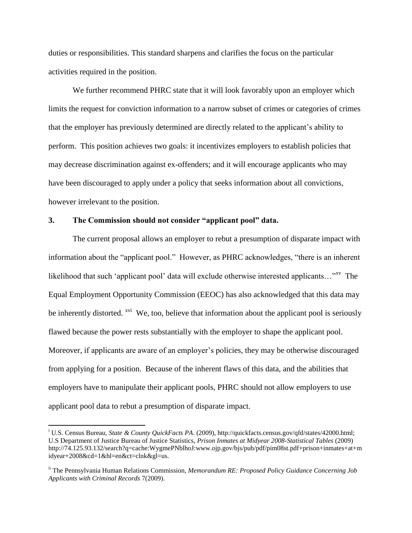duties or responsibilities. This standard sharpens and clarifies the focus on the particular activities required in the position.

We further recommend PHRC state that it will look favorably upon an employer which limits the request for conviction information to a narrow subset of crimes or categories of crimes that the employer has previously determined are directly related to the applicant's ability to perform. This position achieves two goals: it incentivizes employers to establish policies that may decrease discrimination against ex-offenders; and it will encourage applicants who may have been discouraged to apply under a policy that seeks information about all convictions, however irrelevant to the position.

#### **3. The Commission should not consider "applicant pool" data.**

 $\overline{a}$ 

The current proposal allows an employer to rebut a presumption of disparate impact with information about the "applicant pool." However, as PHRC acknowledges, "there is an inherent likelihood that such 'applicant pool' data will exclude otherwise interested applicants... $\cdot x_v$  The Equal Employment Opportunity Commission (EEOC) has also acknowledged that this data may be inherently distorted. <sup>xvi</sup> We, too, believe that information about the applicant pool is seriously flawed because the power rests substantially with the employer to shape the applicant pool. Moreover, if applicants are aware of an employer's policies, they may be otherwise discouraged from applying for a position. Because of the inherent flaws of this data, and the abilities that employers have to manipulate their applicant pools, PHRC should not allow employers to use applicant pool data to rebut a presumption of disparate impact.

<sup>i</sup> U.S. Census Bureau, *State & County QuickFacts PA*. (2009), http://quickfacts.census.gov/qfd/states/42000.html; U.S Department of Justice Bureau of Justice Statistics, *Prison Inmates at Midyear 2008-Statistical Tables* (2009) http://74.125.93.132/search?q=cache:WygmePNblhoJ:www.ojp.gov/bjs/pub/pdf/pim08st.pdf+prison+inmates+at+m idyear+2008&cd=1&hl=en&ct=clnk&gl=us.

ii The Pennsylvania Human Relations Commission, *Memorandum RE: Proposed Policy Guidance Concerning Job Applicants with Criminal Records* 7(2009).